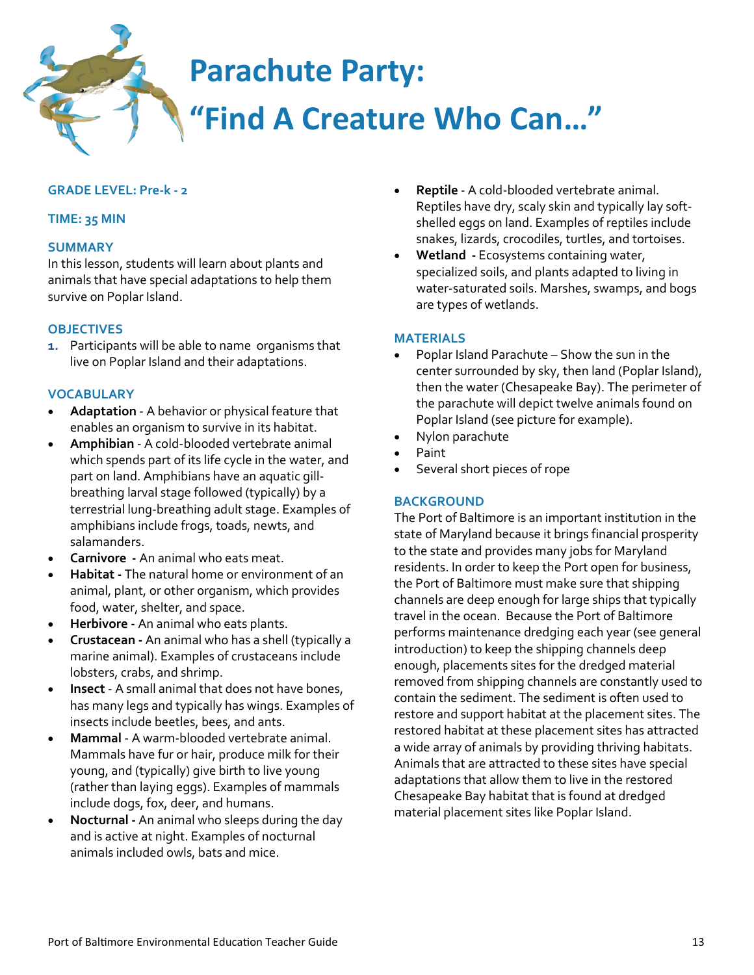# **Parachute Party: "Find A Creature Who Can…"**

# **GRADE LEVEL: Pre-k - 2**

# **TIME: 35 MIN**

## **SUMMARY**

In this lesson, students will learn about plants and animals that have special adaptations to help them survive on Poplar Island.

#### **OBJECTIVES**

**1.** Participants will be able to name organisms that live on Poplar Island and their adaptations.

#### **VOCABULARY**

- **Adaptation** A behavior or physical feature that enables an organism to survive in its habitat.
- **Amphibian**  A cold-blooded vertebrate animal which spends part of its life cycle in the water, and part on land. Amphibians have an aquatic gillbreathing larval stage followed (typically) by a terrestrial lung-breathing adult stage. Examples of amphibians include frogs, toads, newts, and salamanders.
- **Carnivore -** An animal who eats meat.
- **Habitat -** The natural home or environment of an animal, plant, or other organism, which provides food, water, shelter, and space.
- **Herbivore -** An animal who eats plants.
- **Crustacean -** An animal who has a shell (typically a marine animal). Examples of crustaceans include lobsters, crabs, and shrimp.
- **Insect**  A small animal that does not have bones, has many legs and typically has wings. Examples of insects include beetles, bees, and ants.
- **Mammal**  A warm-blooded vertebrate animal. Mammals have fur or hair, produce milk for their young, and (typically) give birth to live young (rather than laying eggs). Examples of mammals include dogs, fox, deer, and humans.
- **Nocturnal -** An animal who sleeps during the day and is active at night. Examples of nocturnal animals included owls, bats and mice.
- **Reptile**  A cold-blooded vertebrate animal. Reptiles have dry, scaly skin and typically lay softshelled eggs on land. Examples of reptiles include snakes, lizards, crocodiles, turtles, and tortoises.
- **Wetland -** Ecosystems containing water, specialized soils, and plants adapted to living in water-saturated soils. Marshes, swamps, and bogs are types of wetlands.

#### **MATERIALS**

- Poplar Island Parachute Show the sun in the center surrounded by sky, then land (Poplar Island), then the water (Chesapeake Bay). The perimeter of the parachute will depict twelve animals found on Poplar Island (see picture for example).
- Nylon parachute
- Paint
- Several short pieces of rope

#### **BACKGROUND**

The Port of Baltimore is an important institution in the state of Maryland because it brings financial prosperity to the state and provides many jobs for Maryland residents. In order to keep the Port open for business, the Port of Baltimore must make sure that shipping channels are deep enough for large ships that typically travel in the ocean. Because the Port of Baltimore performs maintenance dredging each year (see general introduction) to keep the shipping channels deep enough, placements sites for the dredged material removed from shipping channels are constantly used to contain the sediment. The sediment is often used to restore and support habitat at the placement sites. The restored habitat at these placement sites has attracted a wide array of animals by providing thriving habitats. Animals that are attracted to these sites have special adaptations that allow them to live in the restored Chesapeake Bay habitat that is found at dredged material placement sites like Poplar Island.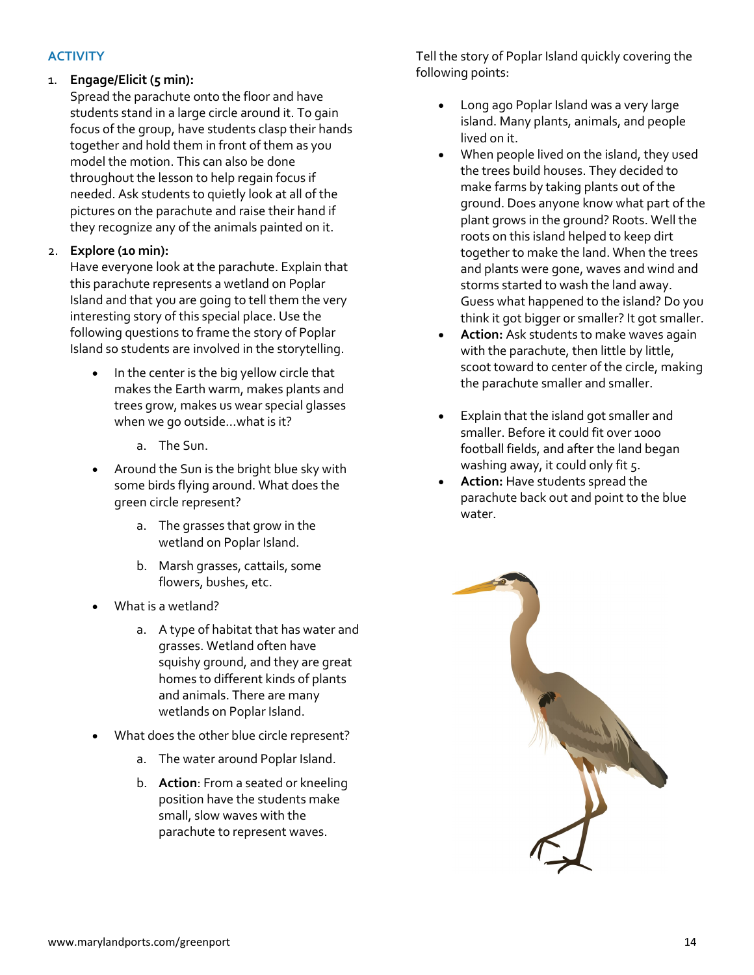# **ACTIVITY**

# 1. **Engage/Elicit (5 min):**

Spread the parachute onto the floor and have students stand in a large circle around it. To gain focus of the group, have students clasp their hands together and hold them in front of them as you model the motion. This can also be done throughout the lesson to help regain focus if needed. Ask students to quietly look at all of the pictures on the parachute and raise their hand if they recognize any of the animals painted on it.

# 2. **Explore (10 min):**

Have everyone look at the parachute. Explain that this parachute represents a wetland on Poplar Island and that you are going to tell them the very interesting story of this special place. Use the following questions to frame the story of Poplar Island so students are involved in the storytelling.

- In the center is the big yellow circle that makes the Earth warm, makes plants and trees grow, makes us wear special glasses when we go outside…what is it?
	- a. The Sun.
- Around the Sun is the bright blue sky with some birds flying around. What does the green circle represent?
	- a. The grasses that grow in the wetland on Poplar Island.
	- b. Marsh grasses, cattails, some flowers, bushes, etc.
- What is a wetland?
	- a. A type of habitat that has water and grasses. Wetland often have squishy ground, and they are great homes to different kinds of plants and animals. There are many wetlands on Poplar Island.
- What does the other blue circle represent?
	- a. The water around Poplar Island.
	- b. **Action**: From a seated or kneeling position have the students make small, slow waves with the parachute to represent waves.

Tell the story of Poplar Island quickly covering the following points:

- Long ago Poplar Island was a very large island. Many plants, animals, and people lived on it.
- When people lived on the island, they used the trees build houses. They decided to make farms by taking plants out of the ground. Does anyone know what part of the plant grows in the ground? Roots. Well the roots on this island helped to keep dirt together to make the land. When the trees and plants were gone, waves and wind and storms started to wash the land away. Guess what happened to the island? Do you think it got bigger or smaller? It got smaller.
- **Action:** Ask students to make waves again with the parachute, then little by little, scoot toward to center of the circle, making the parachute smaller and smaller.
- Explain that the island got smaller and smaller. Before it could fit over 1000 football fields, and after the land began washing away, it could only fit 5.
- **Action:** Have students spread the parachute back out and point to the blue water.

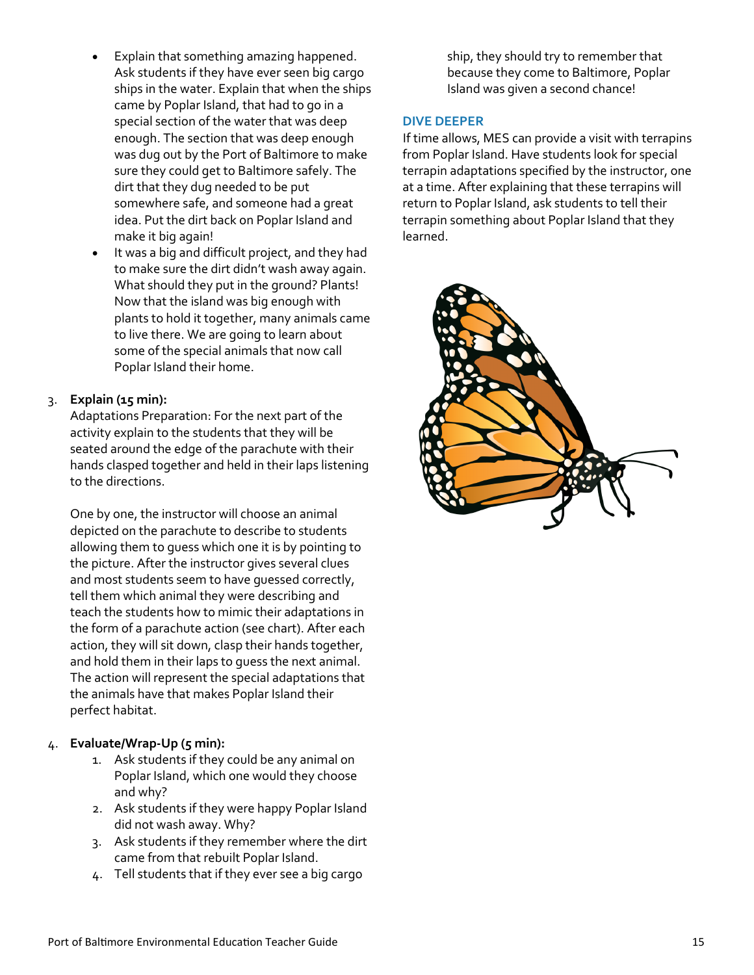- Explain that something amazing happened. Ask students if they have ever seen big cargo ships in the water. Explain that when the ships came by Poplar Island, that had to go in a special section of the water that was deep enough. The section that was deep enough was dug out by the Port of Baltimore to make sure they could get to Baltimore safely. The dirt that they dug needed to be put somewhere safe, and someone had a great idea. Put the dirt back on Poplar Island and make it big again!
- It was a big and difficult project, and they had to make sure the dirt didn't wash away again. What should they put in the ground? Plants! Now that the island was big enough with plants to hold it together, many animals came to live there. We are going to learn about some of the special animals that now call Poplar Island their home.

# 3. **Explain (15 min):**

Adaptations Preparation: For the next part of the activity explain to the students that they will be seated around the edge of the parachute with their hands clasped together and held in their laps listening to the directions.

One by one, the instructor will choose an animal depicted on the parachute to describe to students allowing them to guess which one it is by pointing to the picture. After the instructor gives several clues and most students seem to have guessed correctly, tell them which animal they were describing and teach the students how to mimic their adaptations in the form of a parachute action (see chart). After each action, they will sit down, clasp their hands together, and hold them in their laps to guess the next animal. The action will represent the special adaptations that the animals have that makes Poplar Island their perfect habitat.

# 4. **Evaluate/Wrap-Up (5 min):**

- 1. Ask students if they could be any animal on Poplar Island, which one would they choose and why?
- 2. Ask students if they were happy Poplar Island did not wash away. Why?
- 3. Ask students if they remember where the dirt came from that rebuilt Poplar Island.
- 4. Tell students that if they ever see a big cargo

ship, they should try to remember that because they come to Baltimore, Poplar Island was given a second chance!

# **DIVE DEEPER**

If time allows, MES can provide a visit with terrapins from Poplar Island. Have students look for special terrapin adaptations specified by the instructor, one at a time. After explaining that these terrapins will return to Poplar Island, ask students to tell their terrapin something about Poplar Island that they learned.

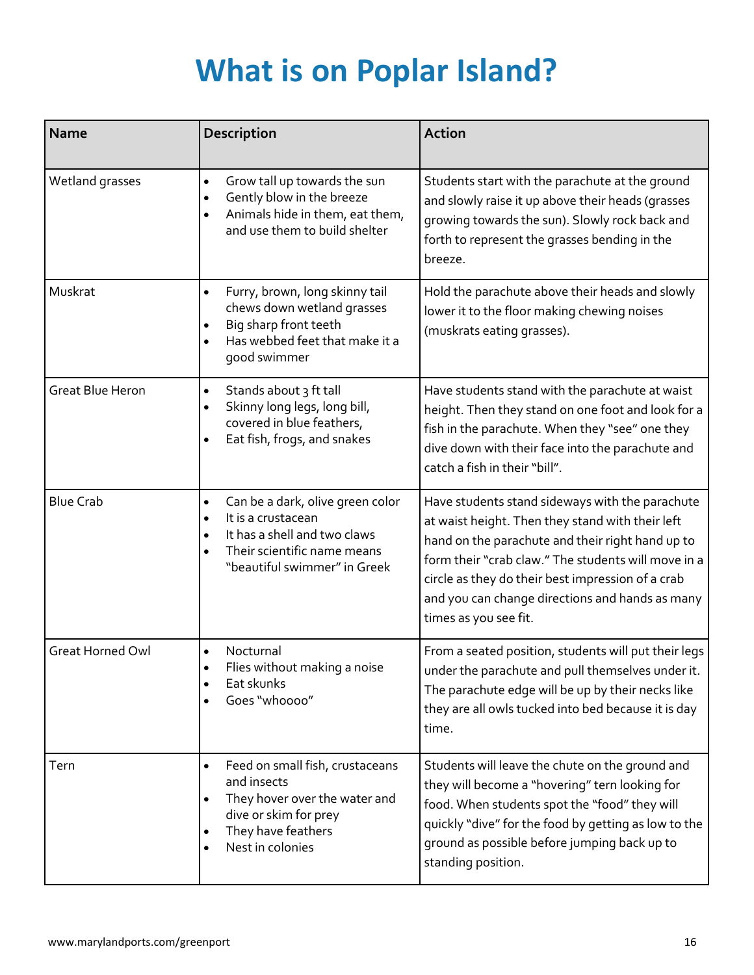# **What is on Poplar Island?**

| <b>Name</b>             | Description                                                                                                                                                                                               | <b>Action</b>                                                                                                                                                                                                                                                                                                                                   |
|-------------------------|-----------------------------------------------------------------------------------------------------------------------------------------------------------------------------------------------------------|-------------------------------------------------------------------------------------------------------------------------------------------------------------------------------------------------------------------------------------------------------------------------------------------------------------------------------------------------|
| Wetland grasses         | Grow tall up towards the sun<br>$\bullet$<br>Gently blow in the breeze<br>٠<br>Animals hide in them, eat them,<br>$\bullet$<br>and use them to build shelter                                              | Students start with the parachute at the ground<br>and slowly raise it up above their heads (grasses<br>growing towards the sun). Slowly rock back and<br>forth to represent the grasses bending in the<br>breeze.                                                                                                                              |
| Muskrat                 | Furry, brown, long skinny tail<br>$\bullet$<br>chews down wetland grasses<br>Big sharp front teeth<br>٠<br>Has webbed feet that make it a<br>$\bullet$<br>good swimmer                                    | Hold the parachute above their heads and slowly<br>lower it to the floor making chewing noises<br>(muskrats eating grasses).                                                                                                                                                                                                                    |
| <b>Great Blue Heron</b> | Stands about 3 ft tall<br>$\bullet$<br>Skinny long legs, long bill,<br>$\bullet$<br>covered in blue feathers,<br>Eat fish, frogs, and snakes                                                              | Have students stand with the parachute at waist<br>height. Then they stand on one foot and look for a<br>fish in the parachute. When they "see" one they<br>dive down with their face into the parachute and<br>catch a fish in their "bill".                                                                                                   |
| <b>Blue Crab</b>        | Can be a dark, olive green color<br>$\bullet$<br>It is a crustacean<br>$\bullet$<br>It has a shell and two claws<br>$\bullet$<br>Their scientific name means<br>$\bullet$<br>"beautiful swimmer" in Greek | Have students stand sideways with the parachute<br>at waist height. Then they stand with their left<br>hand on the parachute and their right hand up to<br>form their "crab claw." The students will move in a<br>circle as they do their best impression of a crab<br>and you can change directions and hands as many<br>times as you see fit. |
| <b>Great Horned Owl</b> | Nocturnal<br>Flies without making a noise<br>Eat skunks<br>٠<br>Goes "whoooo"                                                                                                                             | From a seated position, students will put their legs<br>under the parachute and pull themselves under it.<br>The parachute edge will be up by their necks like<br>they are all owls tucked into bed because it is day<br>time.                                                                                                                  |
| Tern                    | Feed on small fish, crustaceans<br>$\bullet$<br>and insects<br>They hover over the water and<br>$\bullet$<br>dive or skim for prey<br>They have feathers<br>$\bullet$<br>Nest in colonies<br>$\bullet$    | Students will leave the chute on the ground and<br>they will become a "hovering" tern looking for<br>food. When students spot the "food" they will<br>quickly "dive" for the food by getting as low to the<br>ground as possible before jumping back up to<br>standing position.                                                                |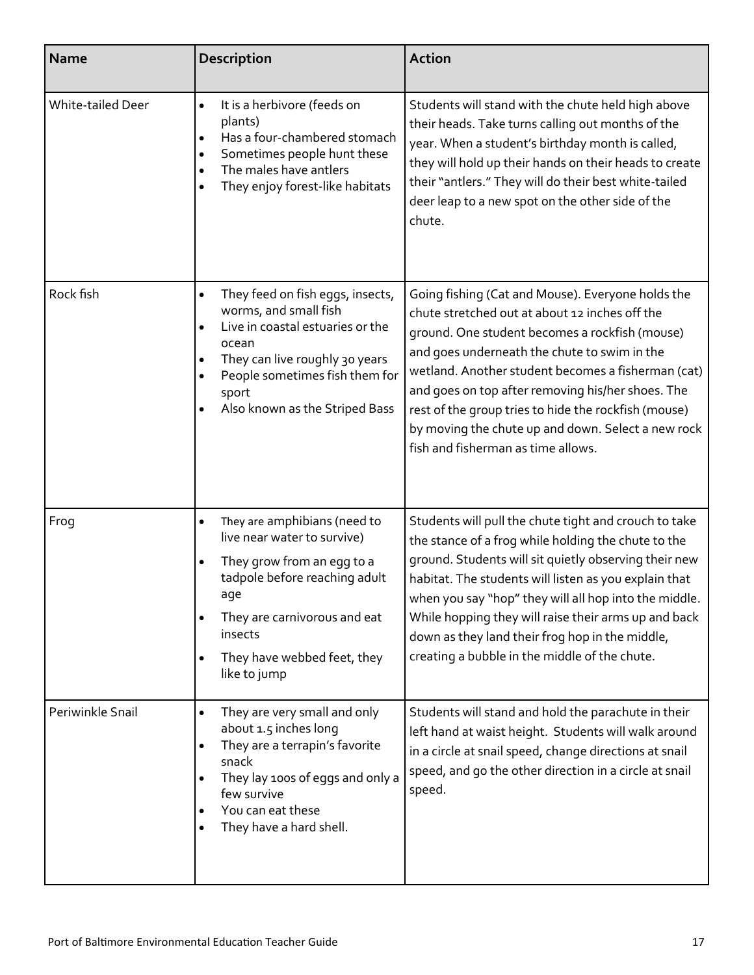| <b>Name</b>              | <b>Description</b>                                                                                                                                                                                                                                                 | <b>Action</b>                                                                                                                                                                                                                                                                                                                                                                                                                                                        |
|--------------------------|--------------------------------------------------------------------------------------------------------------------------------------------------------------------------------------------------------------------------------------------------------------------|----------------------------------------------------------------------------------------------------------------------------------------------------------------------------------------------------------------------------------------------------------------------------------------------------------------------------------------------------------------------------------------------------------------------------------------------------------------------|
| <b>White-tailed Deer</b> | It is a herbivore (feeds on<br>$\bullet$<br>plants)<br>Has a four-chambered stomach<br>Sometimes people hunt these<br>The males have antlers<br>They enjoy forest-like habitats                                                                                    | Students will stand with the chute held high above<br>their heads. Take turns calling out months of the<br>year. When a student's birthday month is called,<br>they will hold up their hands on their heads to create<br>their "antlers." They will do their best white-tailed<br>deer leap to a new spot on the other side of the<br>chute.                                                                                                                         |
| Rock fish                | They feed on fish eggs, insects,<br>$\bullet$<br>worms, and small fish<br>Live in coastal estuaries or the<br>$\bullet$<br>ocean<br>They can live roughly 30 years<br>People sometimes fish them for<br>sport<br>Also known as the Striped Bass                    | Going fishing (Cat and Mouse). Everyone holds the<br>chute stretched out at about 12 inches off the<br>ground. One student becomes a rockfish (mouse)<br>and goes underneath the chute to swim in the<br>wetland. Another student becomes a fisherman (cat)<br>and goes on top after removing his/her shoes. The<br>rest of the group tries to hide the rockfish (mouse)<br>by moving the chute up and down. Select a new rock<br>fish and fisherman as time allows. |
| Frog                     | They are amphibians (need to<br>$\bullet$<br>live near water to survive)<br>They grow from an egg to a<br>$\bullet$<br>tadpole before reaching adult<br>age<br>They are carnivorous and eat<br>insects<br>They have webbed feet, they<br>$\bullet$<br>like to jump | Students will pull the chute tight and crouch to take<br>the stance of a frog while holding the chute to the<br>ground. Students will sit quietly observing their new<br>habitat. The students will listen as you explain that<br>when you say "hop" they will all hop into the middle.<br>While hopping they will raise their arms up and back<br>down as they land their frog hop in the middle,<br>creating a bubble in the middle of the chute.                  |
| Periwinkle Snail         | They are very small and only<br>about 1.5 inches long<br>They are a terrapin's favorite<br>$\bullet$<br>snack<br>They lay 100s of eggs and only a<br>few survive<br>You can eat these<br>They have a hard shell.                                                   | Students will stand and hold the parachute in their<br>left hand at waist height. Students will walk around<br>in a circle at snail speed, change directions at snail<br>speed, and go the other direction in a circle at snail<br>speed.                                                                                                                                                                                                                            |